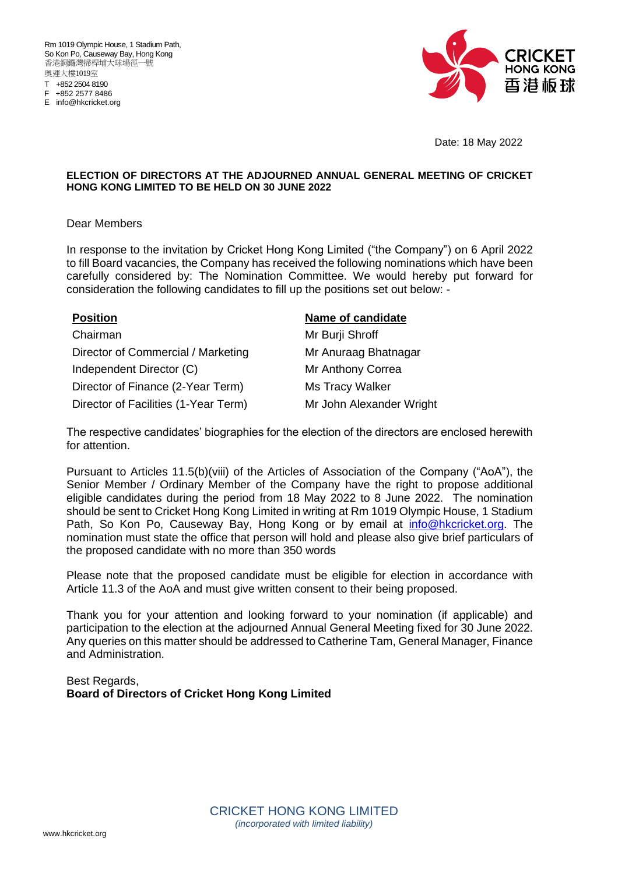Rm 1019 Olympic House, 1 Stadium Path, So Kon Po, Causeway Bay, Hong Kong 香港銅鑼灣掃桿埔大球場徑一號 奧運大樓1019室 T +852 2504 8190 F +852 2577 8486

E info@hkcricket.org



Date: 18 May 2022

#### **ELECTION OF DIRECTORS AT THE ADJOURNED ANNUAL GENERAL MEETING OF CRICKET HONG KONG LIMITED TO BE HELD ON 30 JUNE 2022**

#### Dear Members

In response to the invitation by Cricket Hong Kong Limited ("the Company") on 6 April 2022 to fill Board vacancies, the Company has received the following nominations which have been carefully considered by: The Nomination Committee. We would hereby put forward for consideration the following candidates to fill up the positions set out below: -

Chairman Mr Burji Shroff Director of Commercial / Marketing Mr Anuraag Bhatnagar Independent Director (C) Mr Anthony Correa Director of Finance (2-Year Term) Ms Tracy Walker Director of Facilities (1-Year Term) Mr John Alexander Wright

#### **Position Name of candidate**

The respective candidates' biographies for the election of the directors are enclosed herewith for attention.

Pursuant to Articles 11.5(b)(viii) of the Articles of Association of the Company ("AoA"), the Senior Member / Ordinary Member of the Company have the right to propose additional eligible candidates during the period from 18 May 2022 to 8 June 2022. The nomination should be sent to Cricket Hong Kong Limited in writing at Rm 1019 Olympic House, 1 Stadium Path, So Kon Po, Causeway Bay, Hong Kong or by email at [info@hkcricket.org.](mailto:info@hkcricket.org) The nomination must state the office that person will hold and please also give brief particulars of the proposed candidate with no more than 350 words

Please note that the proposed candidate must be eligible for election in accordance with Article 11.3 of the AoA and must give written consent to their being proposed.

Thank you for your attention and looking forward to your nomination (if applicable) and participation to the election at the adjourned Annual General Meeting fixed for 30 June 2022. Any queries on this matter should be addressed to Catherine Tam, General Manager, Finance and Administration.

Best Regards, **Board of Directors of Cricket Hong Kong Limited**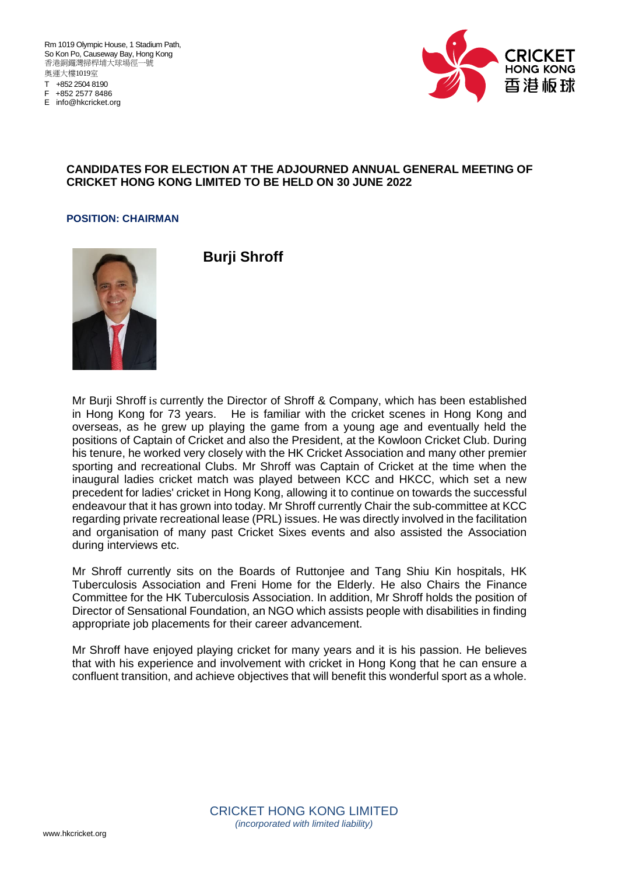Rm 1019 Olympic House, 1 Stadium Path, So Kon Po, Causeway Bay, Hong Kong 香港銅鑼灣掃桿埔大球場徑一號 奧運大樓1019室 T +852 2504 8190

F +852 2577 8486 E info@hkcricket.org



#### **CANDIDATES FOR ELECTION AT THE ADJOURNED ANNUAL GENERAL MEETING OF CRICKET HONG KONG LIMITED TO BE HELD ON 30 JUNE 2022**

#### **POSITION: CHAIRMAN**



**Burji Shroff**

Mr Burji Shroff is currently the Director of Shroff & Company, which has been established in Hong Kong for 73 years. He is familiar with the cricket scenes in Hong Kong and overseas, as he grew up playing the game from a young age and eventually held the positions of Captain of Cricket and also the President, at the Kowloon Cricket Club. During his tenure, he worked very closely with the HK Cricket Association and many other premier sporting and recreational Clubs. Mr Shroff was Captain of Cricket at the time when the inaugural ladies cricket match was played between KCC and HKCC, which set a new precedent for ladies' cricket in Hong Kong, allowing it to continue on towards the successful endeavour that it has grown into today. Mr Shroff currently Chair the sub-committee at KCC regarding private recreational lease (PRL) issues. He was directly involved in the facilitation and organisation of many past Cricket Sixes events and also assisted the Association during interviews etc.

Mr Shroff currently sits on the Boards of Ruttonjee and Tang Shiu Kin hospitals, HK Tuberculosis Association and Freni Home for the Elderly. He also Chairs the Finance Committee for the HK Tuberculosis Association. In addition, Mr Shroff holds the position of Director of Sensational Foundation, an NGO which assists people with disabilities in finding appropriate job placements for their career advancement.

Mr Shroff have enjoyed playing cricket for many years and it is his passion. He believes that with his experience and involvement with cricket in Hong Kong that he can ensure a confluent transition, and achieve objectives that will benefit this wonderful sport as a whole.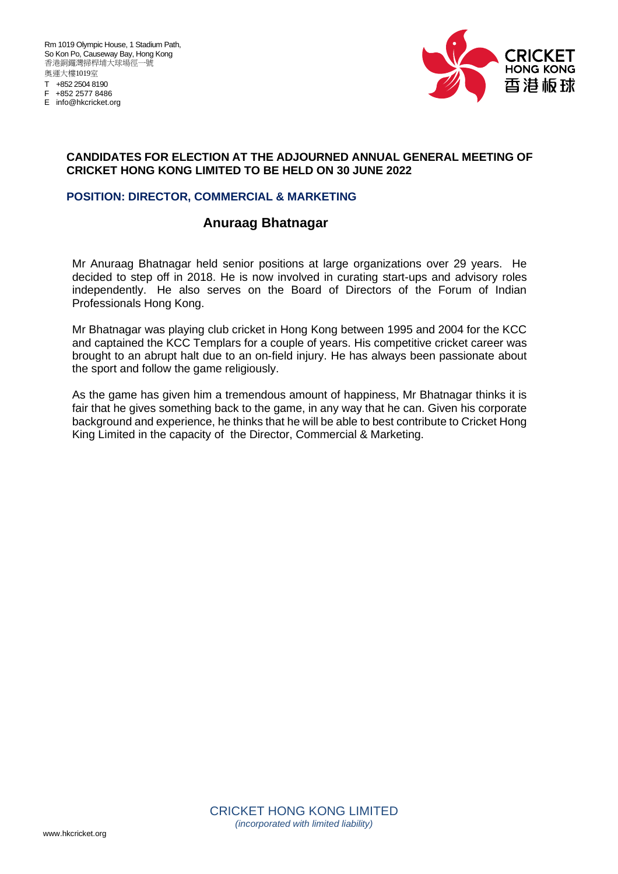Rm 1019 Olympic House, 1 Stadium Path, So Kon Po, Causeway Bay, Hong Kong 香港銅鑼灣掃桿埔大球場徑一號 奧運大樓1019室 T +852 2504 8190 F +852 2577 8486 E info@hkcricket.org



#### **CANDIDATES FOR ELECTION AT THE ADJOURNED ANNUAL GENERAL MEETING OF CRICKET HONG KONG LIMITED TO BE HELD ON 30 JUNE 2022**

#### **POSITION: DIRECTOR, COMMERCIAL & MARKETING**

# **Anuraag Bhatnagar**

Mr Anuraag Bhatnagar held senior positions at large organizations over 29 years. He decided to step off in 2018. He is now involved in curating start-ups and advisory roles independently. He also serves on the Board of Directors of the Forum of Indian Professionals Hong Kong.

Mr Bhatnagar was playing club cricket in Hong Kong between 1995 and 2004 for the KCC and captained the KCC Templars for a couple of years. His competitive cricket career was brought to an abrupt halt due to an on-field injury. He has always been passionate about the sport and follow the game religiously.

As the game has given him a tremendous amount of happiness, Mr Bhatnagar thinks it is fair that he gives something back to the game, in any way that he can. Given his corporate background and experience, he thinks that he will be able to best contribute to Cricket Hong King Limited in the capacity of the Director, Commercial & Marketing.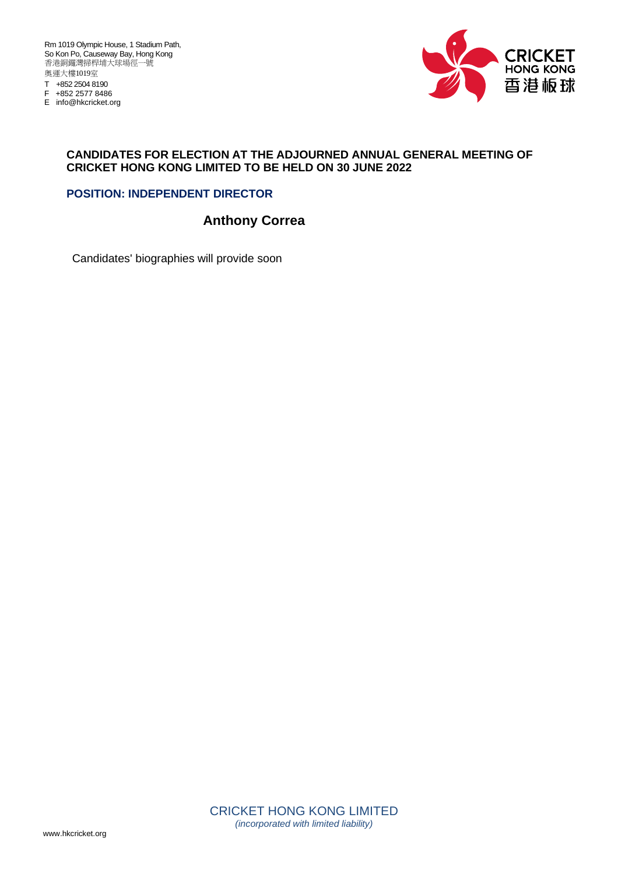Rm 1019 Olympic House, 1 Stadium Path, So Kon Po, Causeway Bay, Hong Kong 香港銅鑼灣掃桿埔大球場徑一號 奧運大樓1019室 T +852 2504 8190 F +852 2577 8486

E info@hkcricket.org



#### **CANDIDATES FOR ELECTION AT THE ADJOURNED ANNUAL GENERAL MEETING OF CRICKET HONG KONG LIMITED TO BE HELD ON 30 JUNE 2022**

### **POSITION: INDEPENDENT DIRECTOR**

# **Anthony Correa**

Candidates' biographies will provide soon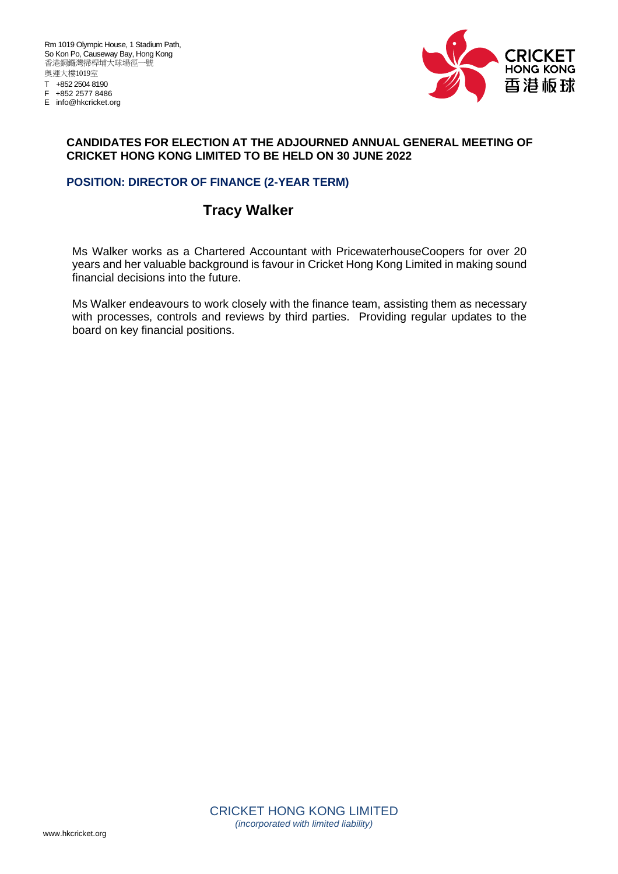E info@hkcricket.org



#### **CANDIDATES FOR ELECTION AT THE ADJOURNED ANNUAL GENERAL MEETING OF CRICKET HONG KONG LIMITED TO BE HELD ON 30 JUNE 2022**

### **POSITION: DIRECTOR OF FINANCE (2-YEAR TERM)**

# **Tracy Walker**

Ms Walker works as a Chartered Accountant with PricewaterhouseCoopers for over 20 years and her valuable background is favour in Cricket Hong Kong Limited in making sound financial decisions into the future.

Ms Walker endeavours to work closely with the finance team, assisting them as necessary with processes, controls and reviews by third parties. Providing regular updates to the board on key financial positions.